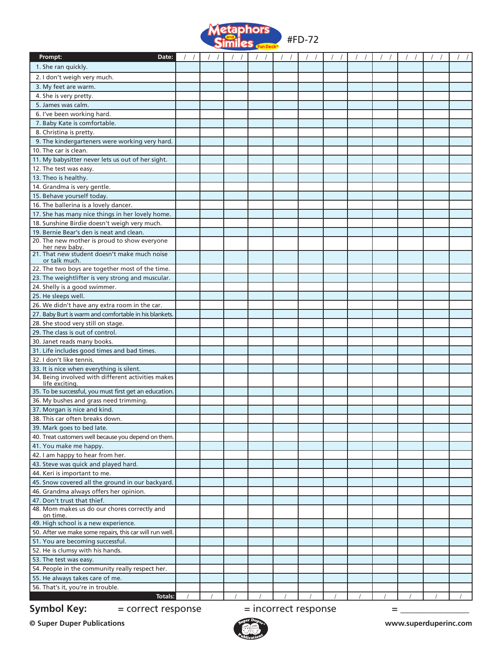

| Prompt:<br>Date:                                                                             |  | $\sqrt{2}$ |  |  |  |  |  |   |  |  |
|----------------------------------------------------------------------------------------------|--|------------|--|--|--|--|--|---|--|--|
| 1. She ran quickly.                                                                          |  |            |  |  |  |  |  |   |  |  |
| 2. I don't weigh very much.                                                                  |  |            |  |  |  |  |  |   |  |  |
| 3. My feet are warm.                                                                         |  |            |  |  |  |  |  |   |  |  |
| 4. She is very pretty.                                                                       |  |            |  |  |  |  |  |   |  |  |
| 5. James was calm.                                                                           |  |            |  |  |  |  |  |   |  |  |
| 6. I've been working hard.                                                                   |  |            |  |  |  |  |  |   |  |  |
| 7. Baby Kate is comfortable.                                                                 |  |            |  |  |  |  |  |   |  |  |
| 8. Christina is pretty.                                                                      |  |            |  |  |  |  |  |   |  |  |
| 9. The kindergarteners were working very hard.                                               |  |            |  |  |  |  |  |   |  |  |
| 10. The car is clean.                                                                        |  |            |  |  |  |  |  |   |  |  |
| 11. My babysitter never lets us out of her sight.                                            |  |            |  |  |  |  |  |   |  |  |
| 12. The test was easy.                                                                       |  |            |  |  |  |  |  |   |  |  |
| 13. Theo is healthy.                                                                         |  |            |  |  |  |  |  |   |  |  |
| 14. Grandma is very gentle.                                                                  |  |            |  |  |  |  |  |   |  |  |
| 15. Behave yourself today.                                                                   |  |            |  |  |  |  |  |   |  |  |
| 16. The ballerina is a lovely dancer.                                                        |  |            |  |  |  |  |  |   |  |  |
| 17. She has many nice things in her lovely home.                                             |  |            |  |  |  |  |  |   |  |  |
| 18. Sunshine Birdie doesn't weigh very much.                                                 |  |            |  |  |  |  |  |   |  |  |
| 19. Bernie Bear's den is neat and clean.                                                     |  |            |  |  |  |  |  |   |  |  |
| 20. The new mother is proud to show everyone<br>her new baby.                                |  |            |  |  |  |  |  |   |  |  |
| 21. That new student doesn't make much noise                                                 |  |            |  |  |  |  |  |   |  |  |
| or talk much.                                                                                |  |            |  |  |  |  |  |   |  |  |
| 22. The two boys are together most of the time.                                              |  |            |  |  |  |  |  |   |  |  |
| 23. The weightlifter is very strong and muscular.                                            |  |            |  |  |  |  |  |   |  |  |
| 24. Shelly is a good swimmer.                                                                |  |            |  |  |  |  |  |   |  |  |
| 25. He sleeps well.                                                                          |  |            |  |  |  |  |  |   |  |  |
| 26. We didn't have any extra room in the car.                                                |  |            |  |  |  |  |  |   |  |  |
| 27. Baby Burt is warm and comfortable in his blankets.<br>28. She stood very still on stage. |  |            |  |  |  |  |  |   |  |  |
| 29. The class is out of control.                                                             |  |            |  |  |  |  |  |   |  |  |
| 30. Janet reads many books.                                                                  |  |            |  |  |  |  |  |   |  |  |
| 31. Life includes good times and bad times.                                                  |  |            |  |  |  |  |  |   |  |  |
| 32. I don't like tennis.                                                                     |  |            |  |  |  |  |  |   |  |  |
| 33. It is nice when everything is silent.                                                    |  |            |  |  |  |  |  |   |  |  |
| 34. Being involved with different activities makes                                           |  |            |  |  |  |  |  |   |  |  |
| life exciting.                                                                               |  |            |  |  |  |  |  |   |  |  |
| 35. To be successful, you must first get an education.                                       |  |            |  |  |  |  |  |   |  |  |
| 36. My bushes and grass need trimming.                                                       |  |            |  |  |  |  |  |   |  |  |
| 37. Morgan is nice and kind.<br>38. This car often breaks down.                              |  |            |  |  |  |  |  |   |  |  |
| 39. Mark goes to bed late.                                                                   |  |            |  |  |  |  |  |   |  |  |
| 40. Treat customers well because you depend on them.                                         |  |            |  |  |  |  |  |   |  |  |
| 41. You make me happy.                                                                       |  |            |  |  |  |  |  |   |  |  |
| 42. I am happy to hear from her.                                                             |  |            |  |  |  |  |  |   |  |  |
| 43. Steve was quick and played hard.                                                         |  |            |  |  |  |  |  |   |  |  |
| 44. Keri is important to me.                                                                 |  |            |  |  |  |  |  |   |  |  |
| 45. Snow covered all the ground in our backyard.                                             |  |            |  |  |  |  |  |   |  |  |
| 46. Grandma always offers her opinion.                                                       |  |            |  |  |  |  |  |   |  |  |
| 47. Don't trust that thief.                                                                  |  |            |  |  |  |  |  |   |  |  |
| 48. Mom makes us do our chores correctly and                                                 |  |            |  |  |  |  |  |   |  |  |
| on time.                                                                                     |  |            |  |  |  |  |  |   |  |  |
| 49. High school is a new experience.                                                         |  |            |  |  |  |  |  |   |  |  |
| 50. After we make some repairs, this car will run well.<br>51. You are becoming successful.  |  |            |  |  |  |  |  |   |  |  |
| 52. He is clumsy with his hands.                                                             |  |            |  |  |  |  |  |   |  |  |
| 53. The test was easy.                                                                       |  |            |  |  |  |  |  |   |  |  |
| 54. People in the community really respect her.                                              |  |            |  |  |  |  |  |   |  |  |
| 55. He always takes care of me.                                                              |  |            |  |  |  |  |  |   |  |  |
| 56. That's it, you're in trouble.                                                            |  |            |  |  |  |  |  |   |  |  |
| Totals:                                                                                      |  |            |  |  |  |  |  |   |  |  |
| = incorrect response<br>= correct response                                                   |  |            |  |  |  |  |  |   |  |  |
| <b>Symbol Key:</b>                                                                           |  |            |  |  |  |  |  | = |  |  |